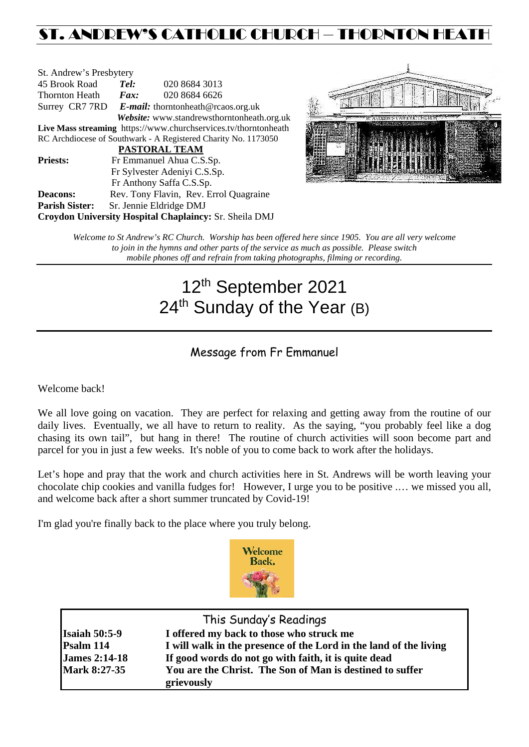## ST. ANDREW'S CATHOLIC CHURCH – THORNTON HEATH

| St. Andrew's Presbytery                                         |                                                   |                                        |  |  |  |
|-----------------------------------------------------------------|---------------------------------------------------|----------------------------------------|--|--|--|
| 45 Brook Road                                                   | Tel:                                              | 020 8684 3013                          |  |  |  |
| Thornton Heath                                                  | Fax:                                              | 020 8684 6626                          |  |  |  |
|                                                                 | Surrey CR7 7RD E-mail: thorntonheath@rcaos.org.uk |                                        |  |  |  |
| Website: www.standrewsthorntonheath.org.uk                      |                                                   |                                        |  |  |  |
| Live Mass streaming https://www.churchservices.tv/thorntonheath |                                                   |                                        |  |  |  |
| RC Archdiocese of Southwark - A Registered Charity No. 1173050  |                                                   |                                        |  |  |  |
| <b>PASTORAL TEAM</b>                                            |                                                   |                                        |  |  |  |
| <b>Priests:</b>                                                 | Fr Emmanuel Ahua C.S.Sp.                          |                                        |  |  |  |
| Fr Sylvester Adeniyi C.S.Sp.                                    |                                                   |                                        |  |  |  |
|                                                                 | Fr Anthony Saffa C.S.Sp.                          |                                        |  |  |  |
| <b>Deacons:</b>                                                 |                                                   | Rev. Tony Flavin, Rev. Errol Quagraine |  |  |  |
| <b>Parish Sister:</b>                                           | Sr. Jennie Eldridge DMJ                           |                                        |  |  |  |
| Croydon University Hospital Chaplaincy: Sr. Sheila DMJ          |                                                   |                                        |  |  |  |



*Welcome to St Andrew's RC Church. Worship has been offered here since 1905. You are all very welcome to join in the hymns and other parts of the service as much as possible. Please switch mobile phones off and refrain from taking photographs, filming or recording.*

# 12th September 2021 24<sup>th</sup> Sunday of the Year (B)

### Message from Fr Emmanuel

Welcome back!

We all love going on vacation. They are perfect for relaxing and getting away from the routine of our daily lives. Eventually, we all have to return to reality. As the saying, "you probably feel like a dog chasing its own tail", but hang in there! The routine of church activities will soon become part and parcel for you in just a few weeks. It's noble of you to come back to work after the holidays.

Let's hope and pray that the work and church activities here in St. Andrews will be worth leaving your chocolate chip cookies and vanilla fudges for! However, I urge you to be positive .… we missed you all, and welcome back after a short summer truncated by Covid-19!

I'm glad you're finally back to the place where you truly belong.



| This Sunday's Readings |                                                                   |  |  |  |
|------------------------|-------------------------------------------------------------------|--|--|--|
| <b>Isaiah 50:5-9</b>   | I offered my back to those who struck me                          |  |  |  |
| Psalm 114              | I will walk in the presence of the Lord in the land of the living |  |  |  |
| <b>James 2:14-18</b>   | If good words do not go with faith, it is quite dead              |  |  |  |
| <b>Mark 8:27-35</b>    | You are the Christ. The Son of Man is destined to suffer          |  |  |  |
|                        | grievously                                                        |  |  |  |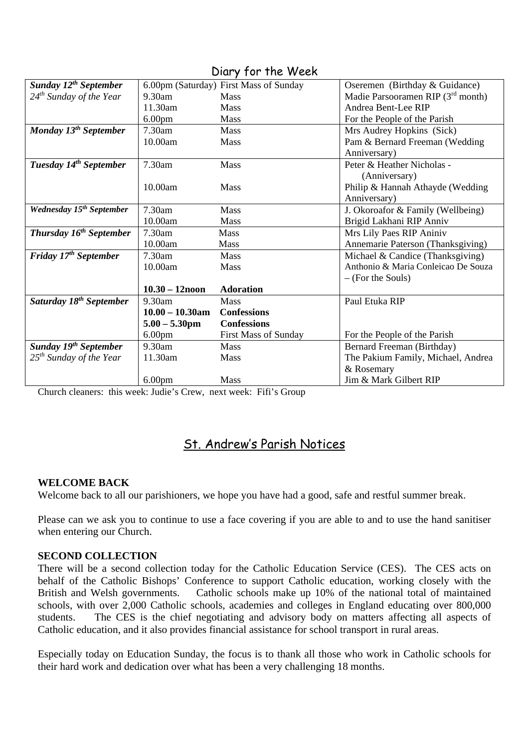| Sunday 12 <sup>th</sup> September    |                    | 6.00pm (Saturday) First Mass of Sunday | Oseremen (Birthday & Guidance)      |
|--------------------------------------|--------------------|----------------------------------------|-------------------------------------|
| 24 <sup>th</sup> Sunday of the Year  | 9.30am             | <b>Mass</b>                            | Madie Parsooramen RIP $(3rd$ month) |
|                                      | 11.30am            | <b>Mass</b>                            | Andrea Bent-Lee RIP                 |
|                                      |                    |                                        |                                     |
|                                      | 6.00 <sub>pm</sub> | <b>Mass</b>                            | For the People of the Parish        |
| Monday 13 <sup>th</sup> September    | 7.30am             | Mass                                   | Mrs Audrey Hopkins (Sick)           |
|                                      | 10.00am            | <b>Mass</b>                            | Pam & Bernard Freeman (Wedding      |
|                                      |                    |                                        | Anniversary)                        |
| Tuesday 14 <sup>th</sup> September   | 7.30am             | <b>Mass</b>                            | Peter & Heather Nicholas -          |
|                                      |                    |                                        | (Anniversary)                       |
|                                      | 10.00am            | <b>Mass</b>                            | Philip & Hannah Athayde (Wedding    |
|                                      |                    |                                        | Anniversary)                        |
| Wednesday 15 <sup>th</sup> September | 7.30am             | <b>Mass</b>                            | J. Okoroafor & Family (Wellbeing)   |
|                                      | 10.00am            | <b>Mass</b>                            | Brigid Lakhani RIP Anniv            |
| Thursday 16 <sup>th</sup> September  | 7.30am             | <b>Mass</b>                            | Mrs Lily Paes RIP Aniniv            |
|                                      | 10.00am            | <b>Mass</b>                            | Annemarie Paterson (Thanksgiving)   |
| Friday 17 <sup>th</sup> September    | 7.30am             | <b>Mass</b>                            | Michael & Candice (Thanksgiving)    |
|                                      | 10.00am            | <b>Mass</b>                            | Anthonio & Maria Conleicao De Souza |
|                                      |                    |                                        | $-$ (For the Souls)                 |
|                                      | $10.30 - 12$ noon  | <b>Adoration</b>                       |                                     |
| Saturday 18 <sup>th</sup> September  | 9.30am             | Mass                                   | Paul Etuka RIP                      |
|                                      | $10.00 - 10.30$ am | <b>Confessions</b>                     |                                     |
|                                      | $5.00 - 5.30$ pm   | <b>Confessions</b>                     |                                     |
|                                      | 6.00 <sub>pm</sub> | First Mass of Sunday                   | For the People of the Parish        |
| Sunday 19th September                | 9.30am             | <b>Mass</b>                            | Bernard Freeman (Birthday)          |
| $25th$ Sunday of the Year            | 11.30am            | Mass                                   | The Pakium Family, Michael, Andrea  |
|                                      |                    |                                        | & Rosemary                          |
|                                      | 6.00 <sub>pm</sub> | <b>Mass</b>                            | Jim & Mark Gilbert RIP              |

Diary for the Week

Church cleaners: this week: Judie's Crew, next week: Fifi's Group

## St. Andrew's Parish Notices

#### **WELCOME BACK**

Welcome back to all our parishioners, we hope you have had a good, safe and restful summer break.

Please can we ask you to continue to use a face covering if you are able to and to use the hand sanitiser when entering our Church.

#### **SECOND COLLECTION**

There will be a second collection today for the Catholic Education Service (CES). The CES acts on behalf of the Catholic Bishops' Conference to support Catholic education, working closely with the British and Welsh governments. Catholic schools make up 10% of the national total of maintained schools, with over 2,000 Catholic schools, academies and colleges in England educating over 800,000 students. The CES is the chief negotiating and advisory body on matters affecting all aspects of Catholic education, and it also provides financial assistance for school transport in rural areas.

Especially today on Education Sunday, the focus is to thank all those who work in Catholic schools for their hard work and dedication over what has been a very challenging 18 months.